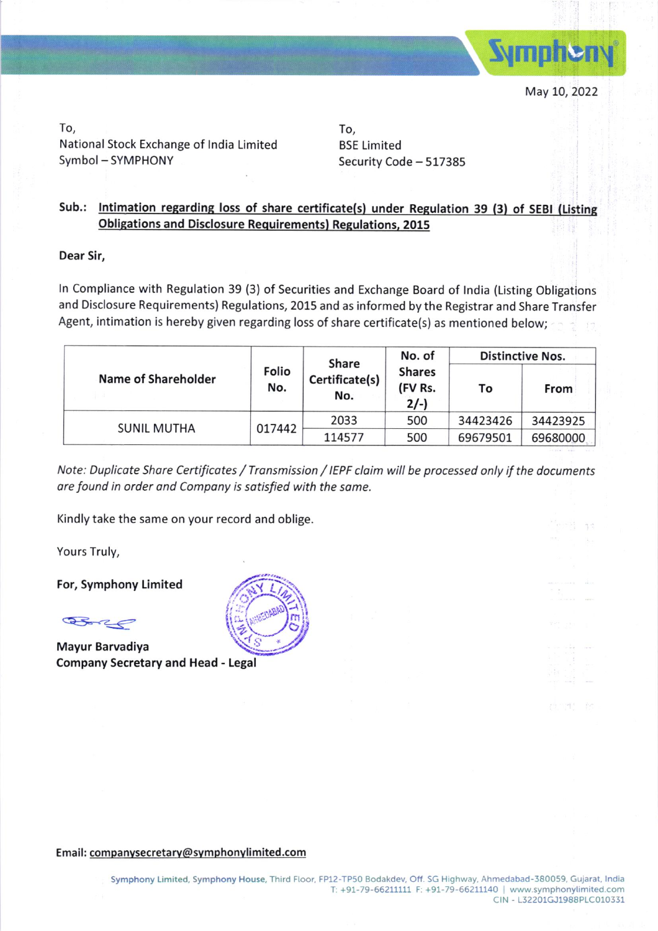

To, National Stock Exchange of lndia Limited Symbol - SYMPHONY

To, BSE Limited Security Code - 517385

## Sub.: Intimation regarding loss of share certificate(s) under Regulation 39 (3) of SEBI (Listing Obligations and Disclosure Requirements) Regulations, 2015

Dear Sir,

ln Compliance with Regulation 39 (3) of Securities and Exchange Board of lndia (Listing Obligations and Disclosure Requirements) Regulations, 2015 and as informed by the Registrar and Share Transfer Agent, intimation is hereby given regarding loss of share certificate(s) as mentioned below;

|  | <b>Name of Shareholder</b> |              | <b>Share</b>          | No. of                            | <b>Distinctive Nos.</b> |          |  |
|--|----------------------------|--------------|-----------------------|-----------------------------------|-------------------------|----------|--|
|  |                            | Folio<br>No. | Certificate(s)<br>No. | <b>Shares</b><br>(FV Rs.<br>$2/-$ | To                      | From     |  |
|  | <b>SUNIL MUTHA</b>         | 017442       | 2033                  | 500                               | 34423426                | 34423925 |  |
|  |                            |              | 114577                | 500                               | 69679501                | 69680000 |  |

Note: Duplicate Share Certificates / Transmission / IEPF claim will be processed only if the documents are found in order and Company is satisfied with the same.

Kindly take the same on your record and oblige.

Yours Truly,

For, Symphony Limited

Bore

Mayur Barvadiya Company Secretary and Head - Legal



Email: companvsecretary@svmphonvlimited.com